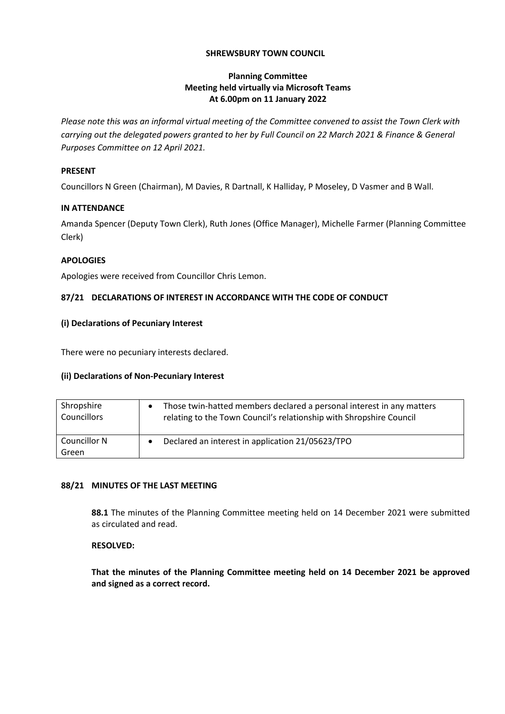### **SHREWSBURY TOWN COUNCIL**

# **Planning Committee Meeting held virtually via Microsoft Teams At 6.00pm on 11 January 2022**

*Please note this was an informal virtual meeting of the Committee convened to assist the Town Clerk with carrying out the delegated powers granted to her by Full Council on 22 March 2021 & Finance & General Purposes Committee on 12 April 2021.*

### **PRESENT**

Councillors N Green (Chairman), M Davies, R Dartnall, K Halliday, P Moseley, D Vasmer and B Wall.

### **IN ATTENDANCE**

Amanda Spencer (Deputy Town Clerk), Ruth Jones (Office Manager), Michelle Farmer (Planning Committee Clerk)

# **APOLOGIES**

Apologies were received from Councillor Chris Lemon.

# **87/21 DECLARATIONS OF INTEREST IN ACCORDANCE WITH THE CODE OF CONDUCT**

# **(i) Declarations of Pecuniary Interest**

There were no pecuniary interests declared.

### **(ii) Declarations of Non-Pecuniary Interest**

| Shropshire            | Those twin-hatted members declared a personal interest in any matters |
|-----------------------|-----------------------------------------------------------------------|
| Councillors           | relating to the Town Council's relationship with Shropshire Council   |
| Councillor N<br>Green | Declared an interest in application 21/05623/TPO                      |

### **88/21 MINUTES OF THE LAST MEETING**

**88.1** The minutes of the Planning Committee meeting held on 14 December 2021 were submitted as circulated and read.

### **RESOLVED:**

**That the minutes of the Planning Committee meeting held on 14 December 2021 be approved and signed as a correct record.**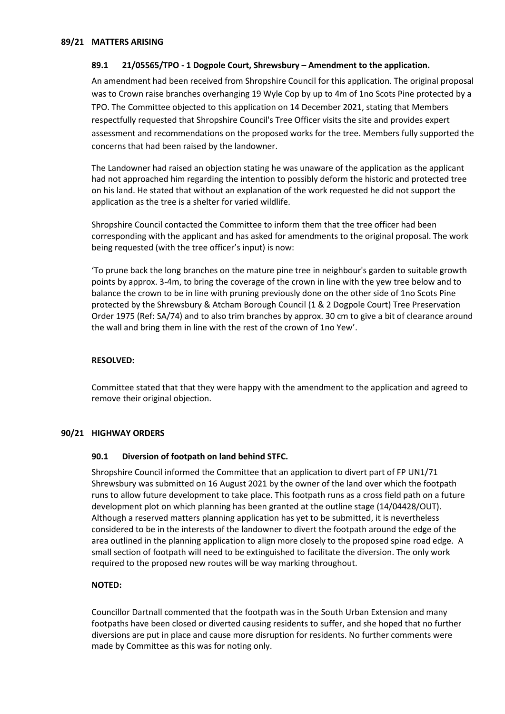### **89.1 21/05565/TPO - 1 Dogpole Court, Shrewsbury – Amendment to the application.**

An amendment had been received from Shropshire Council for this application. The original proposal was to Crown raise branches overhanging 19 Wyle Cop by up to 4m of 1no Scots Pine protected by a TPO. The Committee objected to this application on 14 December 2021, stating that Members respectfully requested that Shropshire Council's Tree Officer visits the site and provides expert assessment and recommendations on the proposed works for the tree. Members fully supported the concerns that had been raised by the landowner.

The Landowner had raised an objection stating he was unaware of the application as the applicant had not approached him regarding the intention to possibly deform the historic and protected tree on his land. He stated that without an explanation of the work requested he did not support the application as the tree is a shelter for varied wildlife.

Shropshire Council contacted the Committee to inform them that the tree officer had been corresponding with the applicant and has asked for amendments to the original proposal. The work being requested (with the tree officer's input) is now:

'To prune back the long branches on the mature pine tree in neighbour's garden to suitable growth points by approx. 3-4m, to bring the coverage of the crown in line with the yew tree below and to balance the crown to be in line with pruning previously done on the other side of 1no Scots Pine protected by the Shrewsbury & Atcham Borough Council (1 & 2 Dogpole Court) Tree Preservation Order 1975 (Ref: SA/74) and to also trim branches by approx. 30 cm to give a bit of clearance around the wall and bring them in line with the rest of the crown of 1no Yew'.

#### **RESOLVED:**

Committee stated that that they were happy with the amendment to the application and agreed to remove their original objection.

#### **90/21 HIGHWAY ORDERS**

#### **90.1 Diversion of footpath on land behind STFC.**

Shropshire Council informed the Committee that an application to divert part of FP UN1/71 Shrewsbury was submitted on 16 August 2021 by the owner of the land over which the footpath runs to allow future development to take place. This footpath runs as a cross field path on a future development plot on which planning has been granted at the outline stage (14/04428/OUT). Although a reserved matters planning application has yet to be submitted, it is nevertheless considered to be in the interests of the landowner to divert the footpath around the edge of the area outlined in the planning application to align more closely to the proposed spine road edge. A small section of footpath will need to be extinguished to facilitate the diversion. The only work required to the proposed new routes will be way marking throughout.

### **NOTED:**

Councillor Dartnall commented that the footpath was in the South Urban Extension and many footpaths have been closed or diverted causing residents to suffer, and she hoped that no further diversions are put in place and cause more disruption for residents. No further comments were made by Committee as this was for noting only.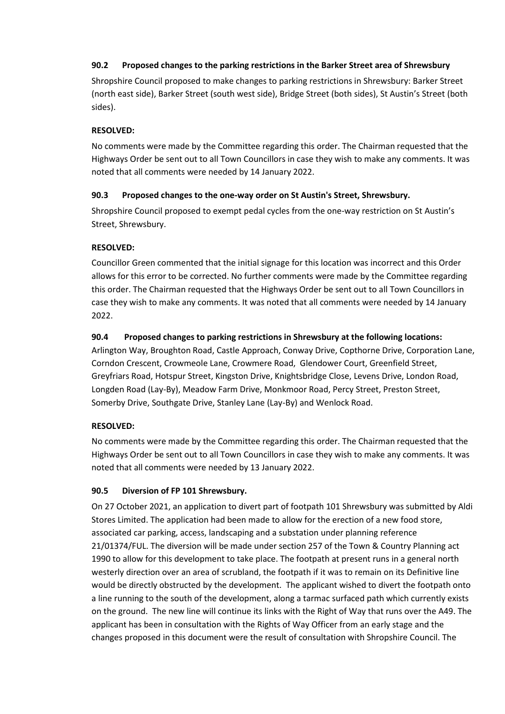# **90.2 Proposed changes to the parking restrictions in the Barker Street area of Shrewsbury**

Shropshire Council proposed to make changes to parking restrictions in Shrewsbury: Barker Street (north east side), Barker Street (south west side), Bridge Street (both sides), St Austin's Street (both sides).

# **RESOLVED:**

No comments were made by the Committee regarding this order. The Chairman requested that the Highways Order be sent out to all Town Councillors in case they wish to make any comments. It was noted that all comments were needed by 14 January 2022.

# **90.3 Proposed changes to the one-way order on St Austin's Street, Shrewsbury.**

Shropshire Council proposed to exempt pedal cycles from the one-way restriction on St Austin's Street, Shrewsbury.

# **RESOLVED:**

Councillor Green commented that the initial signage for this location was incorrect and this Order allows for this error to be corrected. No further comments were made by the Committee regarding this order. The Chairman requested that the Highways Order be sent out to all Town Councillors in case they wish to make any comments. It was noted that all comments were needed by 14 January 2022.

# **90.4 Proposed changes to parking restrictions in Shrewsbury at the following locations:**

Arlington Way, Broughton Road, Castle Approach, Conway Drive, Copthorne Drive, Corporation Lane, Corndon Crescent, Crowmeole Lane, Crowmere Road, Glendower Court, Greenfield Street, Greyfriars Road, Hotspur Street, Kingston Drive, Knightsbridge Close, Levens Drive, London Road, Longden Road (Lay-By), Meadow Farm Drive, Monkmoor Road, Percy Street, Preston Street, Somerby Drive, Southgate Drive, Stanley Lane (Lay-By) and Wenlock Road.

# **RESOLVED:**

No comments were made by the Committee regarding this order. The Chairman requested that the Highways Order be sent out to all Town Councillors in case they wish to make any comments. It was noted that all comments were needed by 13 January 2022.

# **90.5 Diversion of FP 101 Shrewsbury.**

On 27 October 2021, an application to divert part of footpath 101 Shrewsbury was submitted by Aldi Stores Limited. The application had been made to allow for the erection of a new food store, associated car parking, access, landscaping and a substation under planning reference 21/01374/FUL. The diversion will be made under section 257 of the Town & Country Planning act 1990 to allow for this development to take place. The footpath at present runs in a general north westerly direction over an area of scrubland, the footpath if it was to remain on its Definitive line would be directly obstructed by the development. The applicant wished to divert the footpath onto a line running to the south of the development, along a tarmac surfaced path which currently exists on the ground. The new line will continue its links with the Right of Way that runs over the A49. The applicant has been in consultation with the Rights of Way Officer from an early stage and the changes proposed in this document were the result of consultation with Shropshire Council. The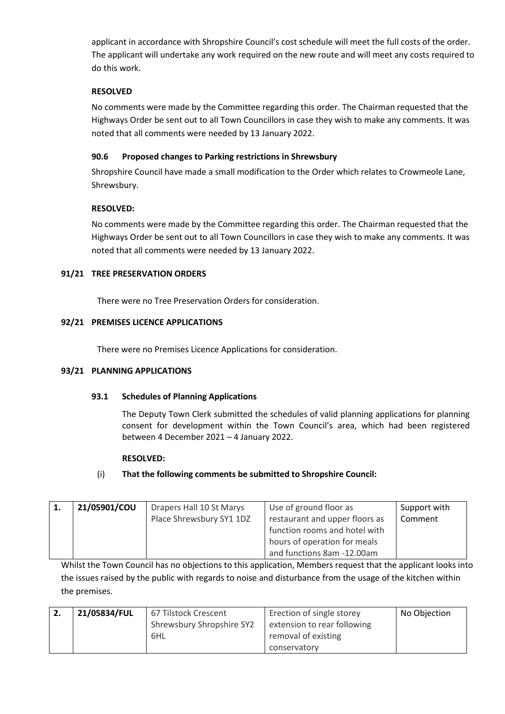applicant in accordance with Shropshire Council's cost schedule will meet the full costs of the order. The applicant will undertake any work required on the new route and will meet any costs required to do this work.

# **RESOLVED**

No comments were made by the Committee regarding this order. The Chairman requested that the Highways Order be sent out to all Town Councillors in case they wish to make any comments. It was noted that all comments were needed by 13 January 2022.

# **90.6 Proposed changes to Parking restrictions in Shrewsbury**

Shropshire Council have made a small modification to the Order which relates to Crowmeole Lane, Shrewsbury.

# **RESOLVED:**

No comments were made by the Committee regarding this order. The Chairman requested that the Highways Order be sent out to all Town Councillors in case they wish to make any comments. It was noted that all comments were needed by 13 January 2022.

# **91/21 TREE PRESERVATION ORDERS**

There were no Tree Preservation Orders for consideration.

# **92/21 PREMISES LICENCE APPLICATIONS**

There were no Premises Licence Applications for consideration.

### **93/21 PLANNING APPLICATIONS**

### **93.1 Schedules of Planning Applications**

The Deputy Town Clerk submitted the schedules of valid planning applications for planning consent for development within the Town Council's area, which had been registered between 4 December 2021 – 4 January 2022.

### **RESOLVED:**

# (i) **That the following comments be submitted to Shropshire Council:**

| 21/05901/COU | Drapers Hall 10 St Marys | Use of ground floor as         | Support with |
|--------------|--------------------------|--------------------------------|--------------|
|              | Place Shrewsbury SY1 1DZ | restaurant and upper floors as | Comment      |
|              |                          | function rooms and hotel with  |              |
|              |                          | hours of operation for meals   |              |
|              |                          | and functions 8am -12.00am     |              |

Whilst the Town Council has no objections to this application, Members request that the applicant looks into the issues raised by the public with regards to noise and disturbance from the usage of the kitchen within the premises.

| Ζ. | 21/05834/FUL | 67 Tilstock Crescent      | Erection of single storey   | No Objection |
|----|--------------|---------------------------|-----------------------------|--------------|
|    |              | Shrewsbury Shropshire SY2 | extension to rear following |              |
|    |              | 6HL                       | removal of existing         |              |
|    |              |                           | conservatory                |              |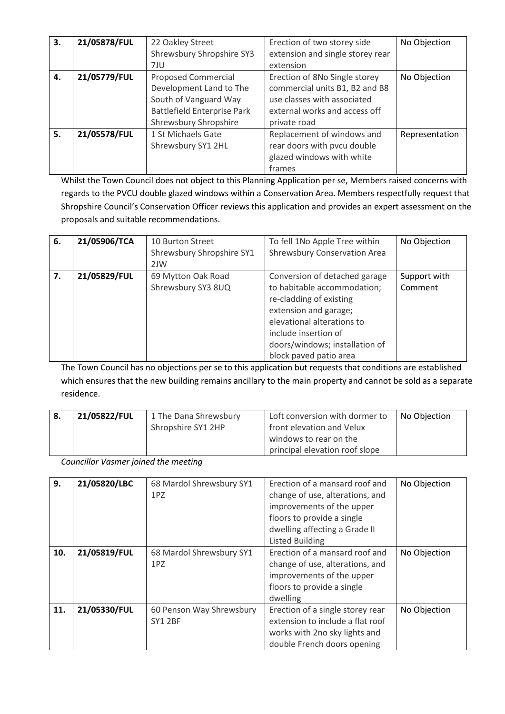| 3. | 21/05878/FUL | 22 Oakley Street<br>Shrewsbury Shropshire SY3<br>7JU                                                                                          | Erection of two storey side<br>extension and single storey rear<br>extension                                                                    | No Objection   |
|----|--------------|-----------------------------------------------------------------------------------------------------------------------------------------------|-------------------------------------------------------------------------------------------------------------------------------------------------|----------------|
| 4. | 21/05779/FUL | <b>Proposed Commercial</b><br>Development Land to The<br>South of Vanguard Way<br><b>Battlefield Enterprise Park</b><br>Shrewsbury Shropshire | Erection of 8No Single storey<br>commercial units B1, B2 and B8<br>use classes with associated<br>external works and access off<br>private road | No Objection   |
| 5. | 21/05578/FUL | 1 St Michaels Gate<br>Shrewsbury SY1 2HL                                                                                                      | Replacement of windows and<br>rear doors with pvcu double<br>glazed windows with white<br>frames                                                | Representation |

Whilst the Town Council does not object to this Planning Application per se, Members raised concerns with regards to the PVCU double glazed windows within a Conservation Area. Members respectfully request that Shropshire Council's Conservation Officer reviews this application and provides an expert assessment on the proposals and suitable recommendations.

| 6. | 21/05906/TCA | 10 Burton Street          | To fell 1No Apple Tree within  | No Objection |
|----|--------------|---------------------------|--------------------------------|--------------|
|    |              | Shrewsbury Shropshire SY1 | Shrewsbury Conservation Area   |              |
|    |              | 2JW                       |                                |              |
| 7. | 21/05829/FUL | 69 Mytton Oak Road        | Conversion of detached garage  | Support with |
|    |              | Shrewsbury SY3 8UQ        | to habitable accommodation;    | Comment      |
|    |              |                           | re-cladding of existing        |              |
|    |              |                           | extension and garage;          |              |
|    |              |                           | elevational alterations to     |              |
|    |              |                           | include insertion of           |              |
|    |              |                           | doors/windows; installation of |              |
|    |              |                           | block paved patio area         |              |

The Town Council has no objections per se to this application but requests that conditions are established which ensures that the new building remains ancillary to the main property and cannot be sold as a separate residence.

| 8. | 21/05822/FUL | 1 The Dana Shrewsbury | Loft conversion with dormer to | No Objection |
|----|--------------|-----------------------|--------------------------------|--------------|
|    |              | Shropshire SY1 2HP    | front elevation and Velux      |              |
|    |              |                       | windows to rear on the         |              |
|    |              |                       | principal elevation roof slope |              |

*Councillor Vasmer joined the meeting*

| 9.  | 21/05820/LBC | 68 Mardol Shrewsbury SY1<br>1PZ            | Erection of a mansard roof and<br>change of use, alterations, and<br>improvements of the upper<br>floors to provide a single<br>dwelling affecting a Grade II<br><b>Listed Building</b> | No Objection |
|-----|--------------|--------------------------------------------|-----------------------------------------------------------------------------------------------------------------------------------------------------------------------------------------|--------------|
| 10. | 21/05819/FUL | 68 Mardol Shrewsbury SY1<br>1PZ            | Erection of a mansard roof and<br>change of use, alterations, and<br>improvements of the upper<br>floors to provide a single<br>dwelling                                                | No Objection |
| 11. | 21/05330/FUL | 60 Penson Way Shrewsbury<br><b>SY1 2BF</b> | Erection of a single storey rear<br>extension to include a flat roof<br>works with 2no sky lights and<br>double French doors opening                                                    | No Objection |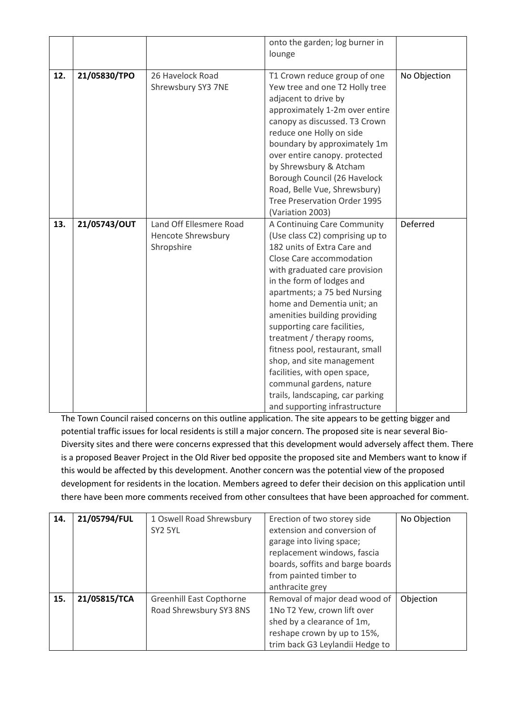|     |              |                                                                    | onto the garden; log burner in<br>lounge                                                                                                                                                                                                                                                                                                                                                                                                                                                                                                            |              |
|-----|--------------|--------------------------------------------------------------------|-----------------------------------------------------------------------------------------------------------------------------------------------------------------------------------------------------------------------------------------------------------------------------------------------------------------------------------------------------------------------------------------------------------------------------------------------------------------------------------------------------------------------------------------------------|--------------|
| 12. | 21/05830/TPO | 26 Havelock Road<br>Shrewsbury SY3 7NE                             | T1 Crown reduce group of one<br>Yew tree and one T2 Holly tree<br>adjacent to drive by<br>approximately 1-2m over entire<br>canopy as discussed. T3 Crown<br>reduce one Holly on side<br>boundary by approximately 1m<br>over entire canopy. protected<br>by Shrewsbury & Atcham<br>Borough Council (26 Havelock<br>Road, Belle Vue, Shrewsbury)<br>Tree Preservation Order 1995<br>(Variation 2003)                                                                                                                                                | No Objection |
| 13. | 21/05743/OUT | Land Off Ellesmere Road<br><b>Hencote Shrewsbury</b><br>Shropshire | A Continuing Care Community<br>(Use class C2) comprising up to<br>182 units of Extra Care and<br>Close Care accommodation<br>with graduated care provision<br>in the form of lodges and<br>apartments; a 75 bed Nursing<br>home and Dementia unit; an<br>amenities building providing<br>supporting care facilities,<br>treatment / therapy rooms,<br>fitness pool, restaurant, small<br>shop, and site management<br>facilities, with open space,<br>communal gardens, nature<br>trails, landscaping, car parking<br>and supporting infrastructure | Deferred     |

The Town Council raised concerns on this outline application. The site appears to be getting bigger and potential traffic issues for local residents is still a major concern. The proposed site is near several Bio-Diversity sites and there were concerns expressed that this development would adversely affect them. There is a proposed Beaver Project in the Old River bed opposite the proposed site and Members want to know if this would be affected by this development. Another concern was the potential view of the proposed development for residents in the location. Members agreed to defer their decision on this application until there have been more comments received from other consultees that have been approached for comment.

| 14. | 21/05794/FUL | 1 Oswell Road Shrewsbury<br>SY2 5YL                        | Erection of two storey side<br>extension and conversion of<br>garage into living space;<br>replacement windows, fascia<br>boards, soffits and barge boards<br>from painted timber to<br>anthracite grey | No Objection |
|-----|--------------|------------------------------------------------------------|---------------------------------------------------------------------------------------------------------------------------------------------------------------------------------------------------------|--------------|
| 15. | 21/05815/TCA | <b>Greenhill East Copthorne</b><br>Road Shrewsbury SY3 8NS | Removal of major dead wood of<br>1No T2 Yew, crown lift over<br>shed by a clearance of 1m,<br>reshape crown by up to 15%,<br>trim back G3 Leylandii Hedge to                                            | Objection    |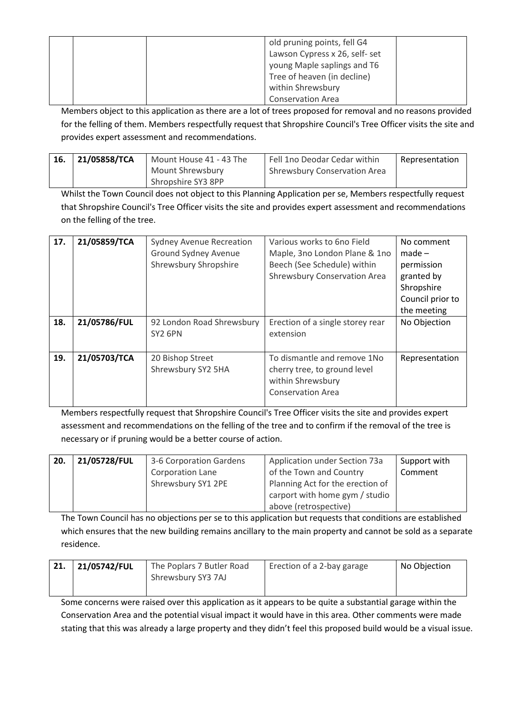|  | old pruning points, fell G4    |  |
|--|--------------------------------|--|
|  | Lawson Cypress x 26, self- set |  |
|  | young Maple saplings and T6    |  |
|  | Tree of heaven (in decline)    |  |
|  | within Shrewsbury              |  |
|  | <b>Conservation Area</b>       |  |

Members object to this application as there are a lot of trees proposed for removal and no reasons provided for the felling of them. Members respectfully request that Shropshire Council's Tree Officer visits the site and provides expert assessment and recommendations.

| 16. | 21/05858/TCA | Mount House 41 - 43 The | Fell 1no Deodar Cedar within | Representation |
|-----|--------------|-------------------------|------------------------------|----------------|
|     |              | Mount Shrewsbury        | Shrewsbury Conservation Area |                |
|     |              | Shropshire SY3 8PP      |                              |                |

Whilst the Town Council does not object to this Planning Application per se, Members respectfully request that Shropshire Council's Tree Officer visits the site and provides expert assessment and recommendations on the felling of the tree.

| 17. | 21/05859/TCA | <b>Sydney Avenue Recreation</b><br><b>Ground Sydney Avenue</b><br>Shrewsbury Shropshire | Various works to 6no Field<br>Maple, 3no London Plane & 1no<br>Beech (See Schedule) within<br>Shrewsbury Conservation Area | No comment<br>$made -$<br>permission<br>granted by<br>Shropshire<br>Council prior to<br>the meeting |
|-----|--------------|-----------------------------------------------------------------------------------------|----------------------------------------------------------------------------------------------------------------------------|-----------------------------------------------------------------------------------------------------|
| 18. | 21/05786/FUL | 92 London Road Shrewsbury<br>SY2 6PN                                                    | Erection of a single storey rear<br>extension                                                                              | No Objection                                                                                        |
| 19. | 21/05703/TCA | 20 Bishop Street<br>Shrewsbury SY2 5HA                                                  | To dismantle and remove 1No<br>cherry tree, to ground level<br>within Shrewsbury<br><b>Conservation Area</b>               | Representation                                                                                      |

Members respectfully request that Shropshire Council's Tree Officer visits the site and provides expert assessment and recommendations on the felling of the tree and to confirm if the removal of the tree is necessary or if pruning would be a better course of action.

| 20. | 21/05728/FUL | 3-6 Corporation Gardens | Application under Section 73a    | Support with |
|-----|--------------|-------------------------|----------------------------------|--------------|
|     |              | Corporation Lane        | of the Town and Country          | Comment      |
|     |              | Shrewsbury SY1 2PE      | Planning Act for the erection of |              |
|     |              |                         | carport with home gym / studio   |              |
|     |              |                         | above (retrospective)            |              |

The Town Council has no objections per se to this application but requests that conditions are established which ensures that the new building remains ancillary to the main property and cannot be sold as a separate residence.

| 21. | 21/05742/FUL | The Poplars 7 Butler Road<br>Shrewsbury SY3 7AJ | Erection of a 2-bay garage | No Objection |
|-----|--------------|-------------------------------------------------|----------------------------|--------------|
|     |              |                                                 |                            |              |

Some concerns were raised over this application as it appears to be quite a substantial garage within the Conservation Area and the potential visual impact it would have in this area. Other comments were made stating that this was already a large property and they didn't feel this proposed build would be a visual issue.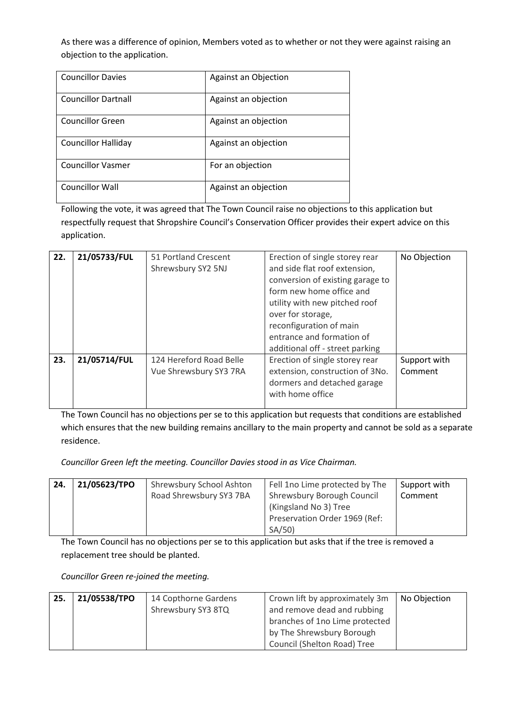As there was a difference of opinion, Members voted as to whether or not they were against raising an objection to the application.

| <b>Councillor Davies</b>   | Against an Objection |
|----------------------------|----------------------|
| <b>Councillor Dartnall</b> | Against an objection |
| Councillor Green           | Against an objection |
| <b>Councillor Halliday</b> | Against an objection |
| <b>Councillor Vasmer</b>   | For an objection     |
| <b>Councillor Wall</b>     | Against an objection |

Following the vote, it was agreed that The Town Council raise no objections to this application but respectfully request that Shropshire Council's Conservation Officer provides their expert advice on this application.

| 22. | 21/05733/FUL | 51 Portland Crescent<br>Shrewsbury SY2 5NJ        | Erection of single storey rear<br>and side flat roof extension,<br>conversion of existing garage to<br>form new home office and<br>utility with new pitched roof<br>over for storage,<br>reconfiguration of main<br>entrance and formation of<br>additional off - street parking | No Objection            |
|-----|--------------|---------------------------------------------------|----------------------------------------------------------------------------------------------------------------------------------------------------------------------------------------------------------------------------------------------------------------------------------|-------------------------|
| 23. | 21/05714/FUL | 124 Hereford Road Belle<br>Vue Shrewsbury SY3 7RA | Erection of single storey rear<br>extension, construction of 3No.<br>dormers and detached garage<br>with home office                                                                                                                                                             | Support with<br>Comment |

The Town Council has no objections per se to this application but requests that conditions are established which ensures that the new building remains ancillary to the main property and cannot be sold as a separate residence.

*Councillor Green left the meeting. Councillor Davies stood in as Vice Chairman.*

| 24. | 21/05623/TPO | Shrewsbury School Ashton | Fell 1no Lime protected by The | Support with |
|-----|--------------|--------------------------|--------------------------------|--------------|
|     |              | Road Shrewsbury SY3 7BA  | Shrewsbury Borough Council     | Comment      |
|     |              |                          | (Kingsland No 3) Tree          |              |
|     |              |                          | Preservation Order 1969 (Ref:  |              |
|     |              |                          | SA/50                          |              |

The Town Council has no objections per se to this application but asks that if the tree is removed a replacement tree should be planted.

*Councillor Green re-joined the meeting.*

| 25. | 21/05538/TPO | 14 Copthorne Gardens | Crown lift by approximately 3m | No Objection |
|-----|--------------|----------------------|--------------------------------|--------------|
|     |              | Shrewsbury SY3 8TQ   | and remove dead and rubbing    |              |
|     |              |                      | branches of 1no Lime protected |              |
|     |              |                      | by The Shrewsbury Borough      |              |
|     |              |                      | Council (Shelton Road) Tree    |              |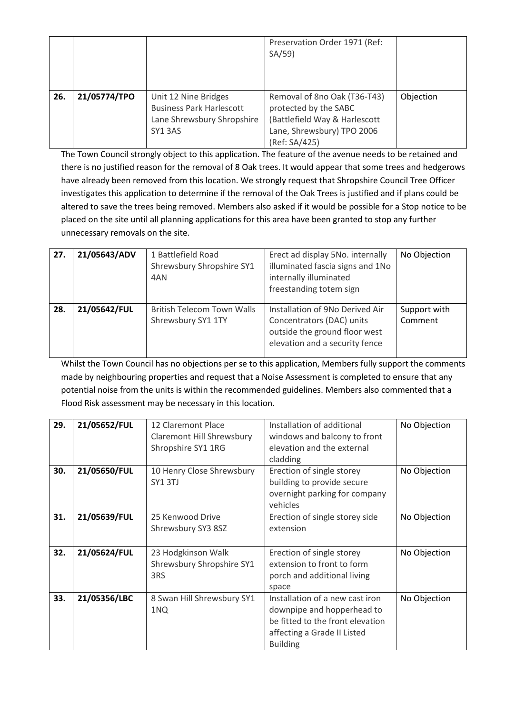|     |              |                                                                                                 | Preservation Order 1971 (Ref:<br>SA/59                                                                                                |           |
|-----|--------------|-------------------------------------------------------------------------------------------------|---------------------------------------------------------------------------------------------------------------------------------------|-----------|
| 26. | 21/05774/TPO | Unit 12 Nine Bridges<br><b>Business Park Harlescott</b><br>Lane Shrewsbury Shropshire<br>SY13AS | Removal of 8no Oak (T36-T43)<br>protected by the SABC<br>(Battlefield Way & Harlescott<br>Lane, Shrewsbury) TPO 2006<br>(Ref: SA/425) | Objection |

The Town Council strongly object to this application. The feature of the avenue needs to be retained and there is no justified reason for the removal of 8 Oak trees. It would appear that some trees and hedgerows have already been removed from this location. We strongly request that Shropshire Council Tree Officer investigates this application to determine if the removal of the Oak Trees is justified and if plans could be altered to save the trees being removed. Members also asked if it would be possible for a Stop notice to be placed on the site until all planning applications for this area have been granted to stop any further unnecessary removals on the site.

| 27. | 21/05643/ADV | 1 Battlefield Road<br>Shrewsbury Shropshire SY1<br>4AN  | Erect ad display 5No. internally<br>illuminated fascia signs and 1No<br>internally illuminated<br>freestanding totem sign       | No Objection            |
|-----|--------------|---------------------------------------------------------|---------------------------------------------------------------------------------------------------------------------------------|-------------------------|
| 28. | 21/05642/FUL | <b>British Telecom Town Walls</b><br>Shrewsbury SY1 1TY | Installation of 9No Derived Air<br>Concentrators (DAC) units<br>outside the ground floor west<br>elevation and a security fence | Support with<br>Comment |

Whilst the Town Council has no objections per se to this application, Members fully support the comments made by neighbouring properties and request that a Noise Assessment is completed to ensure that any potential noise from the units is within the recommended guidelines. Members also commented that a Flood Risk assessment may be necessary in this location.

| 29. | 21/05652/FUL | 12 Claremont Place<br><b>Claremont Hill Shrewsbury</b><br>Shropshire SY1 1RG | Installation of additional<br>windows and balcony to front<br>elevation and the external<br>cladding                                                | No Objection |
|-----|--------------|------------------------------------------------------------------------------|-----------------------------------------------------------------------------------------------------------------------------------------------------|--------------|
| 30. | 21/05650/FUL | 10 Henry Close Shrewsbury<br>SY1 3TJ                                         | Erection of single storey<br>building to provide secure<br>overnight parking for company<br>vehicles                                                | No Objection |
| 31. | 21/05639/FUL | 25 Kenwood Drive<br>Shrewsbury SY3 8SZ                                       | Erection of single storey side<br>extension                                                                                                         | No Objection |
| 32. | 21/05624/FUL | 23 Hodgkinson Walk<br>Shrewsbury Shropshire SY1<br>3RS                       | Erection of single storey<br>extension to front to form<br>porch and additional living<br>space                                                     | No Objection |
| 33. | 21/05356/LBC | 8 Swan Hill Shrewsbury SY1<br>1NQ                                            | Installation of a new cast iron<br>downpipe and hopperhead to<br>be fitted to the front elevation<br>affecting a Grade II Listed<br><b>Building</b> | No Objection |